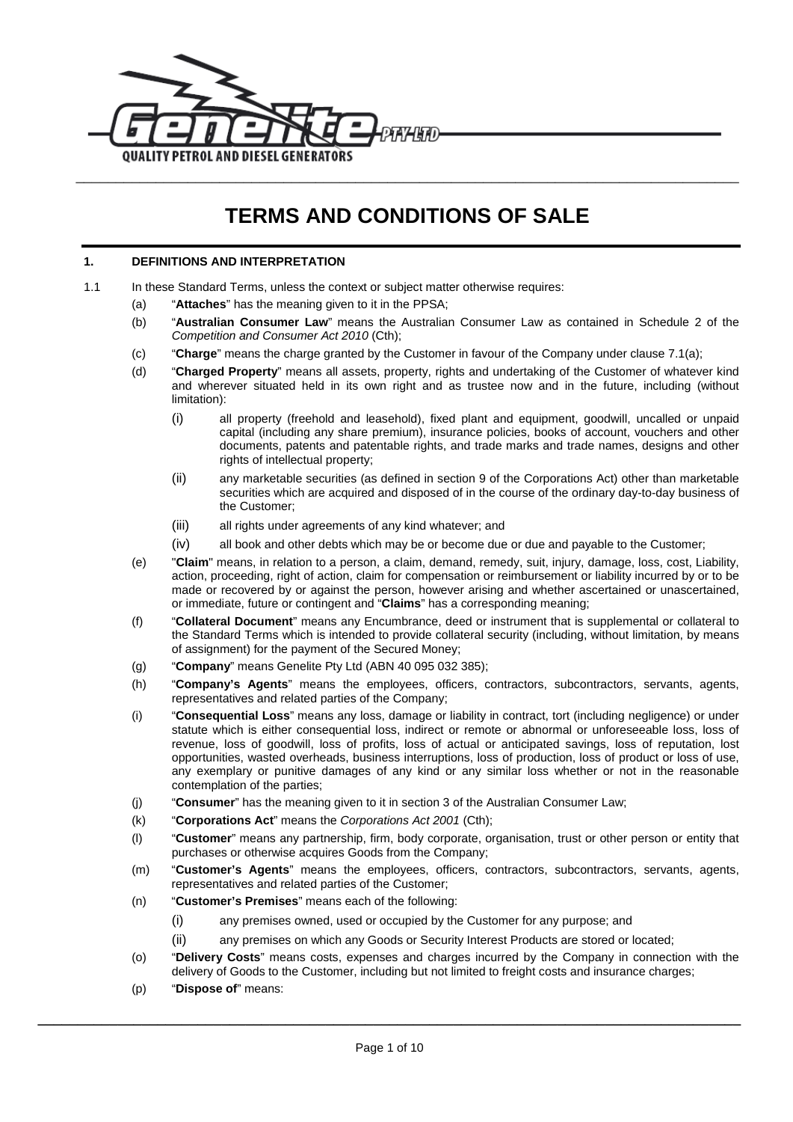

# **TERMS AND CONDITIONS OF SALE**

## **1. DEFINITIONS AND INTERPRETATION**

- 1.1 In these Standard Terms, unless the context or subject matter otherwise requires:
	- (a) "**Attaches**" has the meaning given to it in the PPSA;
	- (b) "**Australian Consumer Law**" means the Australian Consumer Law as contained in Schedule 2 of the *Competition and Consumer Act 2010* (Cth);
	- (c) "**Charge**" means the charge granted by the Customer in favour of the Company under claus[e 7.1\(a\);](#page-4-0)
	- (d) "**Charged Property**" means all assets, property, rights and undertaking of the Customer of whatever kind and wherever situated held in its own right and as trustee now and in the future, including (without limitation):
		- (i) all property (freehold and leasehold), fixed plant and equipment, goodwill, uncalled or unpaid capital (including any share premium), insurance policies, books of account, vouchers and other documents, patents and patentable rights, and trade marks and trade names, designs and other rights of intellectual property;
		- (ii) any marketable securities (as defined in section 9 of the Corporations Act) other than marketable securities which are acquired and disposed of in the course of the ordinary day-to-day business of the Customer;
		- (iii) all rights under agreements of any kind whatever; and
		- (iv) all book and other debts which may be or become due or due and payable to the Customer;
	- (e) "**Claim**" means, in relation to a person, a claim, demand, remedy, suit, injury, damage, loss, cost, Liability, action, proceeding, right of action, claim for compensation or reimbursement or liability incurred by or to be made or recovered by or against the person, however arising and whether ascertained or unascertained, or immediate, future or contingent and "**Claims**" has a corresponding meaning;
	- (f) "**Collateral Document**" means any Encumbrance, deed or instrument that is supplemental or collateral to the Standard Terms which is intended to provide collateral security (including, without limitation, by means of assignment) for the payment of the Secured Money;
	- (g) "**Company**" means Genelite Pty Ltd (ABN 40 095 032 385);
	- (h) "**Company's Agents**" means the employees, officers, contractors, subcontractors, servants, agents, representatives and related parties of the Company;
	- (i) "**Consequential Loss**" means any loss, damage or liability in contract, tort (including negligence) or under statute which is either consequential loss, indirect or remote or abnormal or unforeseeable loss, loss of revenue, loss of goodwill, loss of profits, loss of actual or anticipated savings, loss of reputation, lost opportunities, wasted overheads, business interruptions, loss of production, loss of product or loss of use, any exemplary or punitive damages of any kind or any similar loss whether or not in the reasonable contemplation of the parties;
	- (j) "**Consumer**" has the meaning given to it in section 3 of the Australian Consumer Law;
	- (k) "**Corporations Act**" means the *Corporations Act 2001* (Cth);
	- (l) "**Customer**" means any partnership, firm, body corporate, organisation, trust or other person or entity that purchases or otherwise acquires Goods from the Company;
	- (m) "**Customer's Agents**" means the employees, officers, contractors, subcontractors, servants, agents, representatives and related parties of the Customer;
	- (n) "**Customer's Premises**" means each of the following:
		- (i) any premises owned, used or occupied by the Customer for any purpose; and
		- (ii) any premises on which any Goods or Security Interest Products are stored or located;
	- (o) "**Delivery Costs**" means costs, expenses and charges incurred by the Company in connection with the delivery of Goods to the Customer, including but not limited to freight costs and insurance charges;
	- (p) "**Dispose of**" means: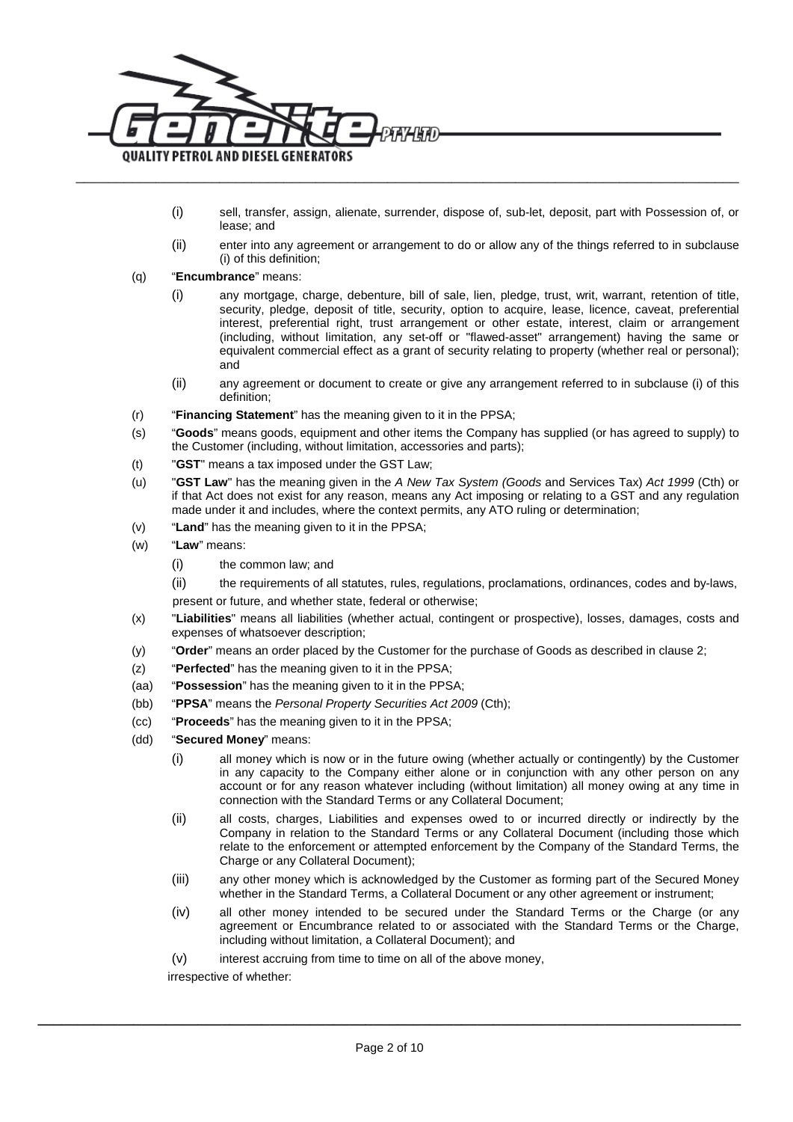

- (i) sell, transfer, assign, alienate, surrender, dispose of, sub-let, deposit, part with Possession of, or lease; and
- (ii) enter into any agreement or arrangement to do or allow any of the things referred to in subclause [\(i\)](#page-1-0) of this definition;

#### <span id="page-1-1"></span><span id="page-1-0"></span>(q) "**Encumbrance**" means:

- (i) any mortgage, charge, debenture, bill of sale, lien, pledge, trust, writ, warrant, retention of title, security, pledge, deposit of title, security, option to acquire, lease, licence, caveat, preferential interest, preferential right, trust arrangement or other estate, interest, claim or arrangement (including, without limitation, any set-off or "flawed-asset" arrangement) having the same or equivalent commercial effect as a grant of security relating to property (whether real or personal); and
- (ii) any agreement or document to create or give any arrangement referred to in subclause [\(i\)](#page-1-1) of this definition;
- (r) "**Financing Statement**" has the meaning given to it in the PPSA;
- (s) "**Goods**" means goods, equipment and other items the Company has supplied (or has agreed to supply) to the Customer (including, without limitation, accessories and parts);
- (t) "**GST**" means a tax imposed under the GST Law;
- (u) "**GST Law**" has the meaning given in the *A New Tax System (Goods* and Services Tax) *Act 1999* (Cth) or if that Act does not exist for any reason, means any Act imposing or relating to a GST and any regulation made under it and includes, where the context permits, any ATO ruling or determination;
- (v) "**Land**" has the meaning given to it in the PPSA;
- (w) "**Law**" means:
	- (i) the common law; and

(ii) the requirements of all statutes, rules, regulations, proclamations, ordinances, codes and by-laws, present or future, and whether state, federal or otherwise;

- (x) "**Liabilities**" means all liabilities (whether actual, contingent or prospective), losses, damages, costs and expenses of whatsoever description;
- (y) "**Order**" means an order placed by the Customer for the purchase of Goods as described in clause [2;](#page-2-0)
- (z) "**Perfected**" has the meaning given to it in the PPSA;
- (aa) "**Possession**" has the meaning given to it in the PPSA;
- (bb) "**PPSA**" means the *Personal Property Securities Act 2009* (Cth);
- (cc) "**Proceeds**" has the meaning given to it in the PPSA;
- (dd) "**Secured Money**" means:
	- (i) all money which is now or in the future owing (whether actually or contingently) by the Customer in any capacity to the Company either alone or in conjunction with any other person on any account or for any reason whatever including (without limitation) all money owing at any time in connection with the Standard Terms or any Collateral Document;
	- (ii) all costs, charges, Liabilities and expenses owed to or incurred directly or indirectly by the Company in relation to the Standard Terms or any Collateral Document (including those which relate to the enforcement or attempted enforcement by the Company of the Standard Terms, the Charge or any Collateral Document);
	- (iii) any other money which is acknowledged by the Customer as forming part of the Secured Money whether in the Standard Terms, a Collateral Document or any other agreement or instrument;
	- (iv) all other money intended to be secured under the Standard Terms or the Charge (or any agreement or Encumbrance related to or associated with the Standard Terms or the Charge, including without limitation, a Collateral Document); and
	- (v) interest accruing from time to time on all of the above money,

irrespective of whether: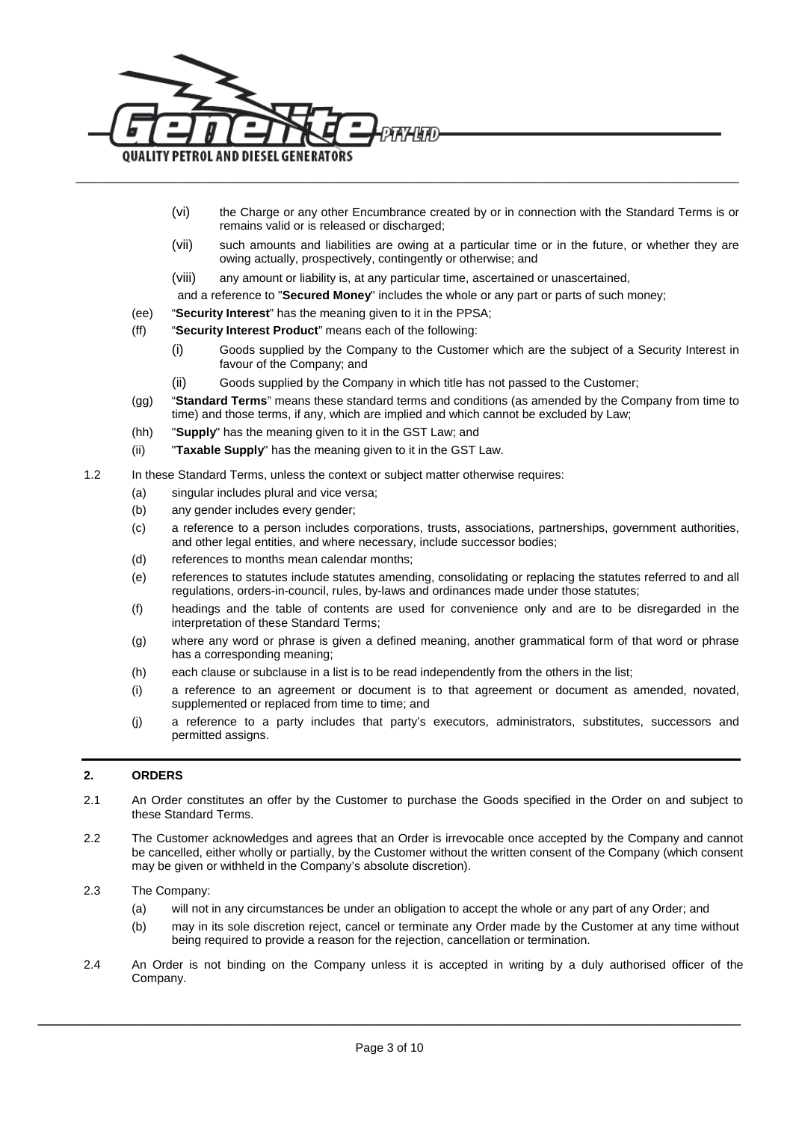

- (vi) the Charge or any other Encumbrance created by or in connection with the Standard Terms is or remains valid or is released or discharged;
- (vii) such amounts and liabilities are owing at a particular time or in the future, or whether they are owing actually, prospectively, contingently or otherwise; and

(viii) any amount or liability is, at any particular time, ascertained or unascertained,

- and a reference to "**Secured Money**" includes the whole or any part or parts of such money;
- (ee) "**Security Interest**" has the meaning given to it in the PPSA;
- (ff) "**Security Interest Product**" means each of the following:
	- (i) Goods supplied by the Company to the Customer which are the subject of a Security Interest in favour of the Company; and
	- (ii) Goods supplied by the Company in which title has not passed to the Customer;
- (gg) "**Standard Terms**" means these standard terms and conditions (as amended by the Company from time to time) and those terms, if any, which are implied and which cannot be excluded by Law;
- (hh) "**Supply**" has the meaning given to it in the GST Law; and
- (ii) "**Taxable Supply**" has the meaning given to it in the GST Law.
- 1.2 In these Standard Terms, unless the context or subject matter otherwise requires:
	- (a) singular includes plural and vice versa;
	- (b) any gender includes every gender;
	- (c) a reference to a person includes corporations, trusts, associations, partnerships, government authorities, and other legal entities, and where necessary, include successor bodies;
	- (d) references to months mean calendar months;
	- (e) references to statutes include statutes amending, consolidating or replacing the statutes referred to and all regulations, orders-in-council, rules, by-laws and ordinances made under those statutes;
	- (f) headings and the table of contents are used for convenience only and are to be disregarded in the interpretation of these Standard Terms;
	- (g) where any word or phrase is given a defined meaning, another grammatical form of that word or phrase has a corresponding meaning;
	- (h) each clause or subclause in a list is to be read independently from the others in the list;
	- (i) a reference to an agreement or document is to that agreement or document as amended, novated, supplemented or replaced from time to time; and
	- (j) a reference to a party includes that party's executors, administrators, substitutes, successors and permitted assigns.

#### <span id="page-2-0"></span>**2. ORDERS**

- 2.1 An Order constitutes an offer by the Customer to purchase the Goods specified in the Order on and subject to these Standard Terms.
- 2.2 The Customer acknowledges and agrees that an Order is irrevocable once accepted by the Company and cannot be cancelled, either wholly or partially, by the Customer without the written consent of the Company (which consent may be given or withheld in the Company's absolute discretion).
- 2.3 The Company:
	- (a) will not in any circumstances be under an obligation to accept the whole or any part of any Order; and
	- (b) may in its sole discretion reject, cancel or terminate any Order made by the Customer at any time without being required to provide a reason for the rejection, cancellation or termination.
- 2.4 An Order is not binding on the Company unless it is accepted in writing by a duly authorised officer of the Company.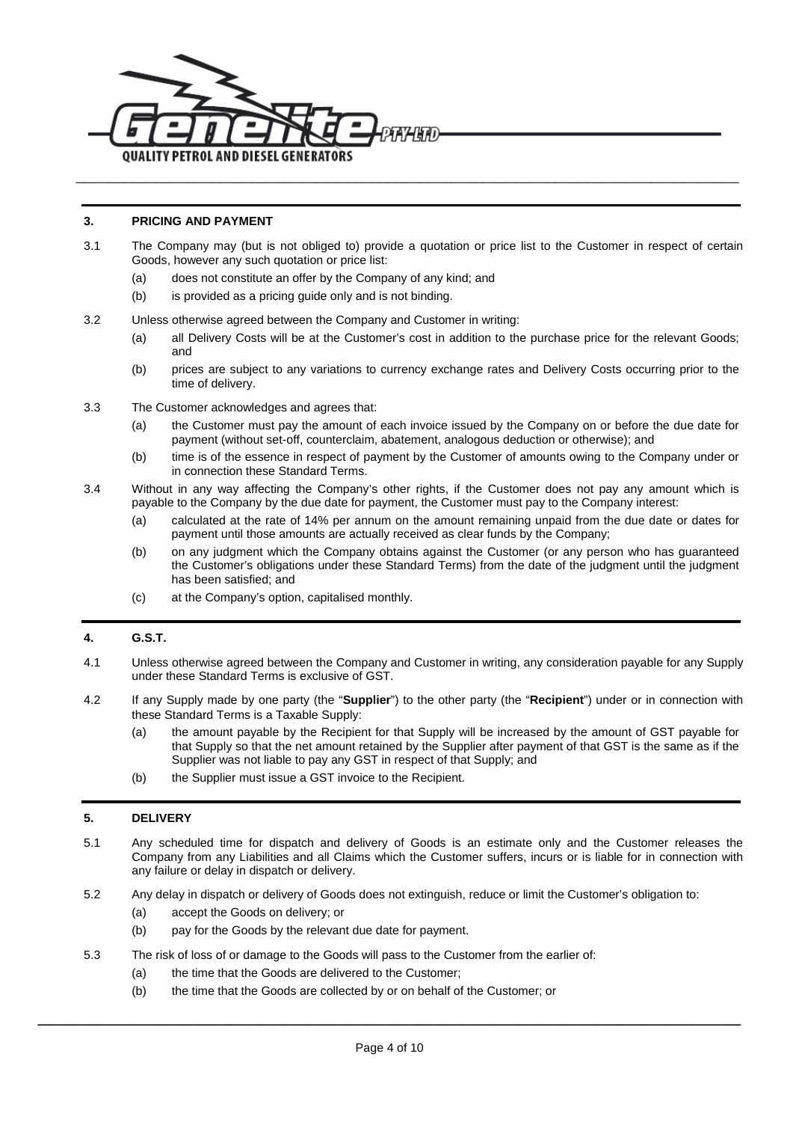

#### **3. PRICING AND PAYMENT**

- 3.1 The Company may (but is not obliged to) provide a quotation or price list to the Customer in respect of certain Goods, however any such quotation or price list:
	- (a) does not constitute an offer by the Company of any kind; and
	- (b) is provided as a pricing quide only and is not binding.

#### 3.2 Unless otherwise agreed between the Company and Customer in writing:

- (a) all Delivery Costs will be at the Customer's cost in addition to the purchase price for the relevant Goods; and
- (b) prices are subject to any variations to currency exchange rates and Delivery Costs occurring prior to the time of delivery.
- 3.3 The Customer acknowledges and agrees that:
	- (a) the Customer must pay the amount of each invoice issued by the Company on or before the due date for payment (without set-off, counterclaim, abatement, analogous deduction or otherwise); and
	- (b) time is of the essence in respect of payment by the Customer of amounts owing to the Company under or in connection these Standard Terms.
- 3.4 Without in any way affecting the Company's other rights, if the Customer does not pay any amount which is payable to the Company by the due date for payment, the Customer must pay to the Company interest:
	- (a) calculated at the rate of 14% per annum on the amount remaining unpaid from the due date or dates for payment until those amounts are actually received as clear funds by the Company;
	- (b) on any judgment which the Company obtains against the Customer (or any person who has guaranteed the Customer's obligations under these Standard Terms) from the date of the judgment until the judgment has been satisfied; and
	- (c) at the Company's option, capitalised monthly.

# **4. G.S.T.**

- 4.1 Unless otherwise agreed between the Company and Customer in writing, any consideration payable for any Supply under these Standard Terms is exclusive of GST.
- 4.2 If any Supply made by one party (the "**Supplier**") to the other party (the "**Recipient**") under or in connection with these Standard Terms is a Taxable Supply:
	- (a) the amount payable by the Recipient for that Supply will be increased by the amount of GST payable for that Supply so that the net amount retained by the Supplier after payment of that GST is the same as if the Supplier was not liable to pay any GST in respect of that Supply; and
	- (b) the Supplier must issue a GST invoice to the Recipient.

## **5. DELIVERY**

- 5.1 Any scheduled time for dispatch and delivery of Goods is an estimate only and the Customer releases the Company from any Liabilities and all Claims which the Customer suffers, incurs or is liable for in connection with any failure or delay in dispatch or delivery.
- 5.2 Any delay in dispatch or delivery of Goods does not extinguish, reduce or limit the Customer's obligation to:
	- (a) accept the Goods on delivery; or
	- (b) pay for the Goods by the relevant due date for payment.
- 5.3 The risk of loss of or damage to the Goods will pass to the Customer from the earlier of:
	- (a) the time that the Goods are delivered to the Customer:
	- (b) the time that the Goods are collected by or on behalf of the Customer; or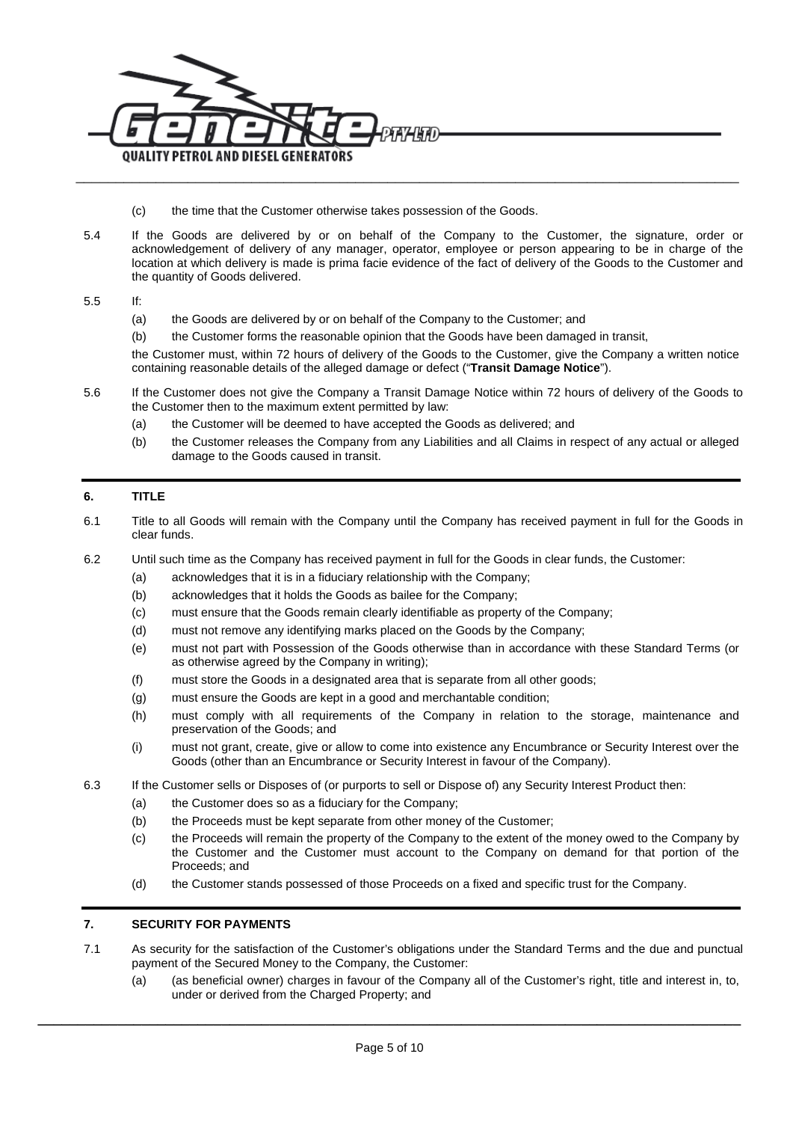

- (c) the time that the Customer otherwise takes possession of the Goods.
- 5.4 If the Goods are delivered by or on behalf of the Company to the Customer, the signature, order or acknowledgement of delivery of any manager, operator, employee or person appearing to be in charge of the location at which delivery is made is prima facie evidence of the fact of delivery of the Goods to the Customer and the quantity of Goods delivered.

5.5 If:

- (a) the Goods are delivered by or on behalf of the Company to the Customer; and
- (b) the Customer forms the reasonable opinion that the Goods have been damaged in transit,

the Customer must, within 72 hours of delivery of the Goods to the Customer, give the Company a written notice containing reasonable details of the alleged damage or defect ("**Transit Damage Notice**").

- 5.6 If the Customer does not give the Company a Transit Damage Notice within 72 hours of delivery of the Goods to the Customer then to the maximum extent permitted by law:
	- (a) the Customer will be deemed to have accepted the Goods as delivered; and
	- (b) the Customer releases the Company from any Liabilities and all Claims in respect of any actual or alleged damage to the Goods caused in transit.

# **6. TITLE**

- 6.1 Title to all Goods will remain with the Company until the Company has received payment in full for the Goods in clear funds.
- 6.2 Until such time as the Company has received payment in full for the Goods in clear funds, the Customer:
	- (a) acknowledges that it is in a fiduciary relationship with the Company;
		- (b) acknowledges that it holds the Goods as bailee for the Company;
		- (c) must ensure that the Goods remain clearly identifiable as property of the Company;
		- (d) must not remove any identifying marks placed on the Goods by the Company;
		- (e) must not part with Possession of the Goods otherwise than in accordance with these Standard Terms (or as otherwise agreed by the Company in writing);
		- (f) must store the Goods in a designated area that is separate from all other goods;
		- (g) must ensure the Goods are kept in a good and merchantable condition;
		- (h) must comply with all requirements of the Company in relation to the storage, maintenance and preservation of the Goods; and
		- (i) must not grant, create, give or allow to come into existence any Encumbrance or Security Interest over the Goods (other than an Encumbrance or Security Interest in favour of the Company).
- 6.3 If the Customer sells or Disposes of (or purports to sell or Dispose of) any Security Interest Product then:
	- (a) the Customer does so as a fiduciary for the Company;
	- (b) the Proceeds must be kept separate from other money of the Customer;
	- (c) the Proceeds will remain the property of the Company to the extent of the money owed to the Company by the Customer and the Customer must account to the Company on demand for that portion of the Proceeds; and
	- (d) the Customer stands possessed of those Proceeds on a fixed and specific trust for the Company.

#### <span id="page-4-1"></span>**7. SECURITY FOR PAYMENTS**

- <span id="page-4-0"></span>7.1 As security for the satisfaction of the Customer's obligations under the Standard Terms and the due and punctual payment of the Secured Money to the Company, the Customer:
	- (a) (as beneficial owner) charges in favour of the Company all of the Customer's right, title and interest in, to, under or derived from the Charged Property; and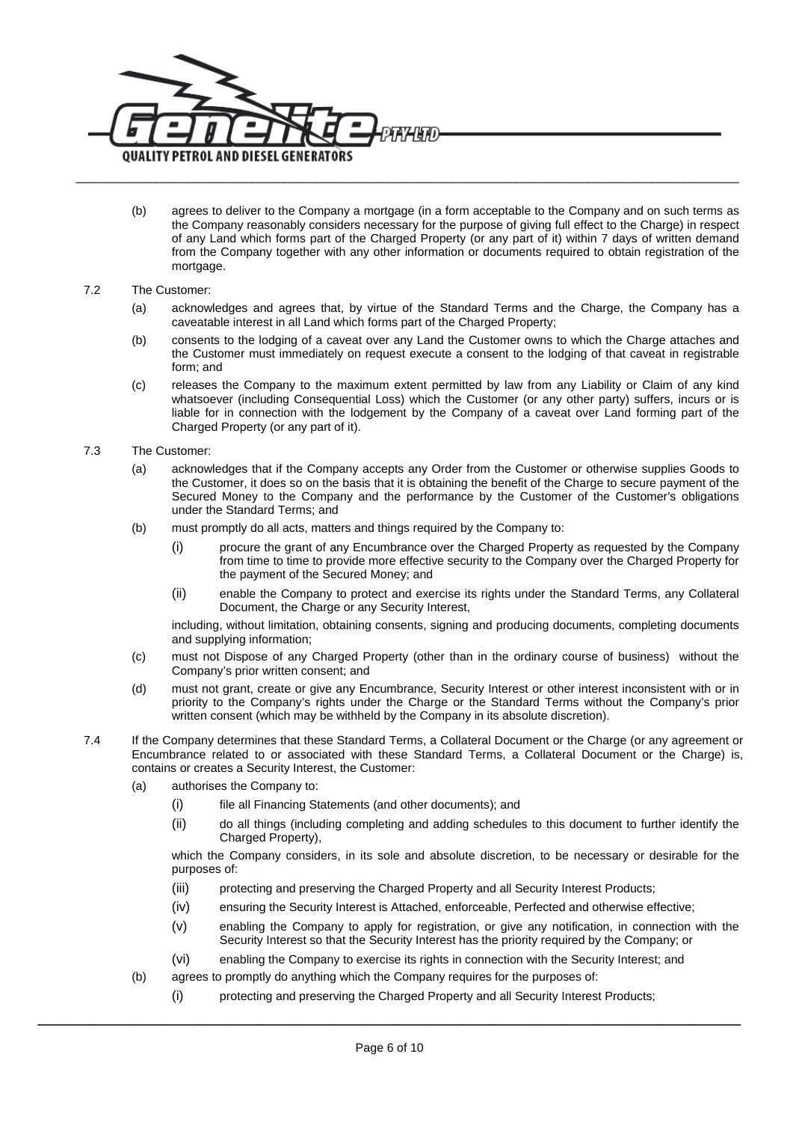

(b) agrees to deliver to the Company a mortgage (in a form acceptable to the Company and on such terms as the Company reasonably considers necessary for the purpose of giving full effect to the Charge) in respect of any Land which forms part of the Charged Property (or any part of it) within 7 days of written demand from the Company together with any other information or documents required to obtain registration of the mortgage.

#### 7.2 The Customer:

- (a) acknowledges and agrees that, by virtue of the Standard Terms and the Charge, the Company has a caveatable interest in all Land which forms part of the Charged Property;
- (b) consents to the lodging of a caveat over any Land the Customer owns to which the Charge attaches and the Customer must immediately on request execute a consent to the lodging of that caveat in registrable form; and
- (c) releases the Company to the maximum extent permitted by law from any Liability or Claim of any kind whatsoever (including Consequential Loss) which the Customer (or any other party) suffers, incurs or is liable for in connection with the lodgement by the Company of a caveat over Land forming part of the Charged Property (or any part of it).

#### 7.3 The Customer:

- (a) acknowledges that if the Company accepts any Order from the Customer or otherwise supplies Goods to the Customer, it does so on the basis that it is obtaining the benefit of the Charge to secure payment of the Secured Money to the Company and the performance by the Customer of the Customer's obligations under the Standard Terms; and
- (b) must promptly do all acts, matters and things required by the Company to:
	- (i) procure the grant of any Encumbrance over the Charged Property as requested by the Company from time to time to provide more effective security to the Company over the Charged Property for the payment of the Secured Money; and
	- (ii) enable the Company to protect and exercise its rights under the Standard Terms, any Collateral Document, the Charge or any Security Interest,

including, without limitation, obtaining consents, signing and producing documents, completing documents and supplying information;

- (c) must not Dispose of any Charged Property (other than in the ordinary course of business) without the Company's prior written consent; and
- (d) must not grant, create or give any Encumbrance, Security Interest or other interest inconsistent with or in priority to the Company's rights under the Charge or the Standard Terms without the Company's prior written consent (which may be withheld by the Company in its absolute discretion).
- 7.4 If the Company determines that these Standard Terms, a Collateral Document or the Charge (or any agreement or Encumbrance related to or associated with these Standard Terms, a Collateral Document or the Charge) is, contains or creates a Security Interest, the Customer:
	- (a) authorises the Company to:
		- (i) file all Financing Statements (and other documents); and
		- (ii) do all things (including completing and adding schedules to this document to further identify the Charged Property),

which the Company considers, in its sole and absolute discretion, to be necessary or desirable for the purposes of:

- (iii) protecting and preserving the Charged Property and all Security Interest Products;
- (iv) ensuring the Security Interest is Attached, enforceable, Perfected and otherwise effective;
- (v) enabling the Company to apply for registration, or give any notification, in connection with the Security Interest so that the Security Interest has the priority required by the Company; or
- (vi) enabling the Company to exercise its rights in connection with the Security Interest; and
- (b) agrees to promptly do anything which the Company requires for the purposes of:
	- (i) protecting and preserving the Charged Property and all Security Interest Products;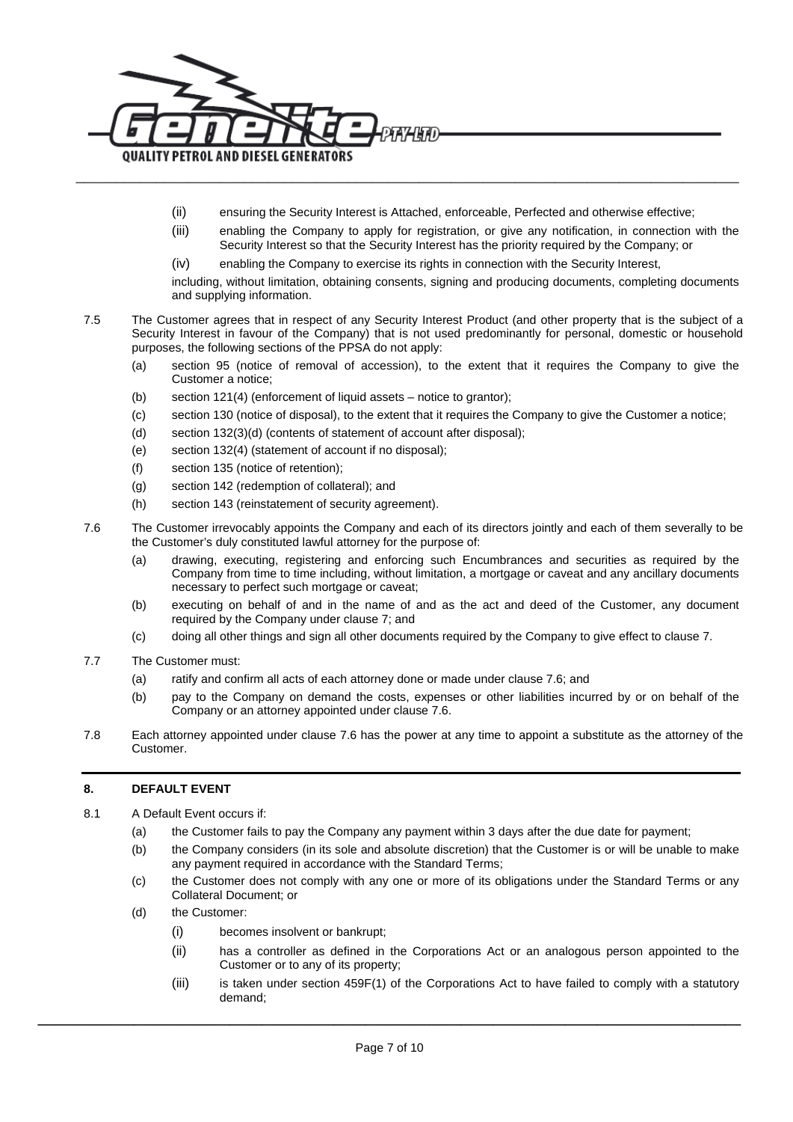

- (ii) ensuring the Security Interest is Attached, enforceable, Perfected and otherwise effective;
- (iii) enabling the Company to apply for registration, or give any notification, in connection with the Security Interest so that the Security Interest has the priority required by the Company; or
- (iv) enabling the Company to exercise its rights in connection with the Security Interest,

including, without limitation, obtaining consents, signing and producing documents, completing documents and supplying information.

- 7.5 The Customer agrees that in respect of any Security Interest Product (and other property that is the subject of a Security Interest in favour of the Company) that is not used predominantly for personal, domestic or household purposes, the following sections of the PPSA do not apply:
	- (a) section 95 (notice of removal of accession), to the extent that it requires the Company to give the Customer a notice;
	- (b) section 121(4) (enforcement of liquid assets notice to grantor);
	- (c) section 130 (notice of disposal), to the extent that it requires the Company to give the Customer a notice;
	- (d) section 132(3)(d) (contents of statement of account after disposal);
	- (e) section 132(4) (statement of account if no disposal);
	- (f) section 135 (notice of retention);
	- (g) section 142 (redemption of collateral); and
	- (h) section 143 (reinstatement of security agreement).
- <span id="page-6-0"></span>7.6 The Customer irrevocably appoints the Company and each of its directors jointly and each of them severally to be the Customer's duly constituted lawful attorney for the purpose of:
	- (a) drawing, executing, registering and enforcing such Encumbrances and securities as required by the Company from time to time including, without limitation, a mortgage or caveat and any ancillary documents necessary to perfect such mortgage or caveat;
	- (b) executing on behalf of and in the name of and as the act and deed of the Customer, any document required by the Company under claus[e 7;](#page-4-1) and
	- (c) doing all other things and sign all other documents required by the Company to give effect to claus[e 7.](#page-4-1)
- 7.7 The Customer must:
	- (a) ratify and confirm all acts of each attorney done or made under clause [7.6;](#page-6-0) and
	- (b) pay to the Company on demand the costs, expenses or other liabilities incurred by or on behalf of the Company or an attorney appointed under clause [7.6.](#page-6-0)
- 7.8 Each attorney appointed under clause [7.6](#page-6-0) has the power at any time to appoint a substitute as the attorney of the Customer.

#### **8. DEFAULT EVENT**

- 8.1 A Default Event occurs if:
	- (a) the Customer fails to pay the Company any payment within 3 days after the due date for payment;
	- (b) the Company considers (in its sole and absolute discretion) that the Customer is or will be unable to make any payment required in accordance with the Standard Terms;
	- (c) the Customer does not comply with any one or more of its obligations under the Standard Terms or any Collateral Document; or
	- (d) the Customer:
		- (i) becomes insolvent or bankrupt;
		- (ii) has a controller as defined in the Corporations Act or an analogous person appointed to the Customer or to any of its property;
		- (iii) is taken under section 459F(1) of the Corporations Act to have failed to comply with a statutory demand;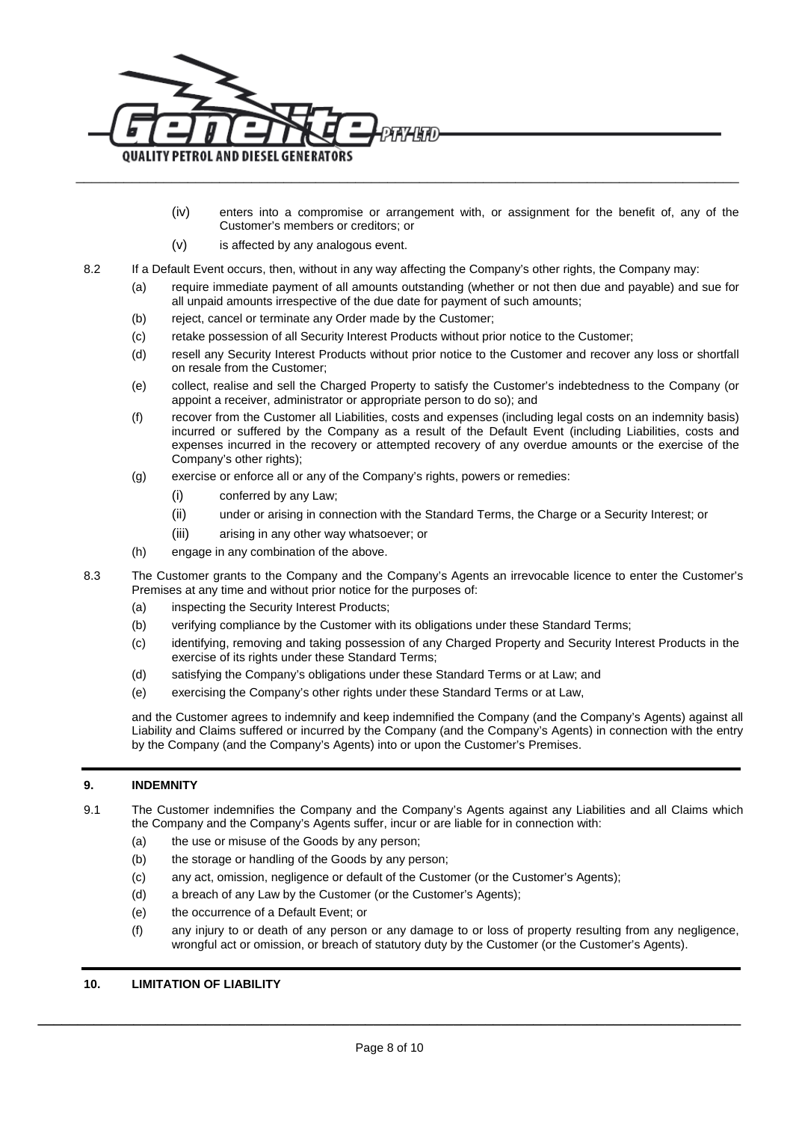

- (iv) enters into a compromise or arrangement with, or assignment for the benefit of, any of the Customer's members or creditors; or
- (v) is affected by any analogous event.
- 8.2 If a Default Event occurs, then, without in any way affecting the Company's other rights, the Company may:
	- (a) require immediate payment of all amounts outstanding (whether or not then due and payable) and sue for all unpaid amounts irrespective of the due date for payment of such amounts;
	- (b) reject, cancel or terminate any Order made by the Customer;
	- (c) retake possession of all Security Interest Products without prior notice to the Customer;
	- (d) resell any Security Interest Products without prior notice to the Customer and recover any loss or shortfall on resale from the Customer;
	- (e) collect, realise and sell the Charged Property to satisfy the Customer's indebtedness to the Company (or appoint a receiver, administrator or appropriate person to do so); and
	- (f) recover from the Customer all Liabilities, costs and expenses (including legal costs on an indemnity basis) incurred or suffered by the Company as a result of the Default Event (including Liabilities, costs and expenses incurred in the recovery or attempted recovery of any overdue amounts or the exercise of the Company's other rights);
	- (g) exercise or enforce all or any of the Company's rights, powers or remedies:
		- (i) conferred by any Law;
		- (ii) under or arising in connection with the Standard Terms, the Charge or a Security Interest; or
		- (iii) arising in any other way whatsoever; or
	- (h) engage in any combination of the above.
- 8.3 The Customer grants to the Company and the Company's Agents an irrevocable licence to enter the Customer's Premises at any time and without prior notice for the purposes of:
	- (a) inspecting the Security Interest Products;
	- (b) verifying compliance by the Customer with its obligations under these Standard Terms;
	- (c) identifying, removing and taking possession of any Charged Property and Security Interest Products in the exercise of its rights under these Standard Terms;
	- (d) satisfying the Company's obligations under these Standard Terms or at Law; and
	- (e) exercising the Company's other rights under these Standard Terms or at Law,

and the Customer agrees to indemnify and keep indemnified the Company (and the Company's Agents) against all Liability and Claims suffered or incurred by the Company (and the Company's Agents) in connection with the entry by the Company (and the Company's Agents) into or upon the Customer's Premises.

# **9. INDEMNITY**

- 9.1 The Customer indemnifies the Company and the Company's Agents against any Liabilities and all Claims which the Company and the Company's Agents suffer, incur or are liable for in connection with:
	- (a) the use or misuse of the Goods by any person;
	- (b) the storage or handling of the Goods by any person;
	- (c) any act, omission, negligence or default of the Customer (or the Customer's Agents);
	- (d) a breach of any Law by the Customer (or the Customer's Agents);
	- (e) the occurrence of a Default Event; or
	- (f) any injury to or death of any person or any damage to or loss of property resulting from any negligence, wrongful act or omission, or breach of statutory duty by the Customer (or the Customer's Agents).

#### **10. LIMITATION OF LIABILITY**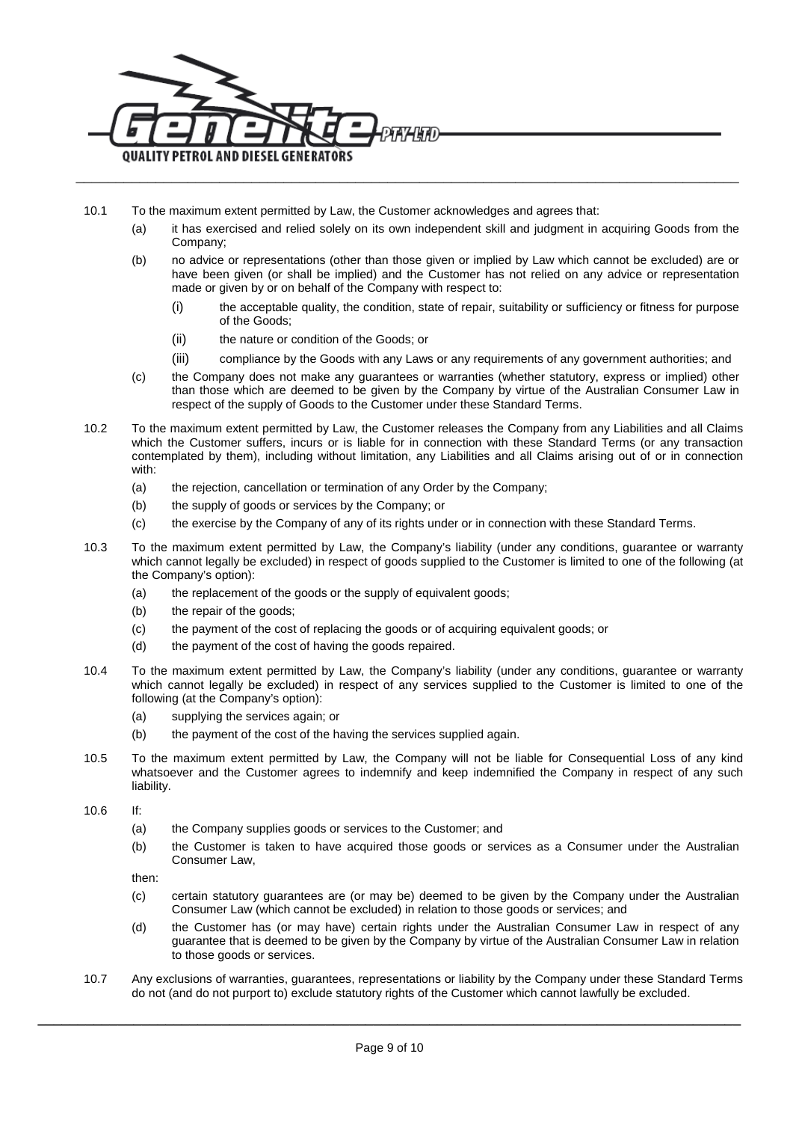

- 10.1 To the maximum extent permitted by Law, the Customer acknowledges and agrees that:
	- (a) it has exercised and relied solely on its own independent skill and judgment in acquiring Goods from the Company;
	- (b) no advice or representations (other than those given or implied by Law which cannot be excluded) are or have been given (or shall be implied) and the Customer has not relied on any advice or representation made or given by or on behalf of the Company with respect to:
		- (i) the acceptable quality, the condition, state of repair, suitability or sufficiency or fitness for purpose of the Goods;
		- (ii) the nature or condition of the Goods; or
		- (iii) compliance by the Goods with any Laws or any requirements of any government authorities; and
	- (c) the Company does not make any guarantees or warranties (whether statutory, express or implied) other than those which are deemed to be given by the Company by virtue of the Australian Consumer Law in respect of the supply of Goods to the Customer under these Standard Terms.
- 10.2 To the maximum extent permitted by Law, the Customer releases the Company from any Liabilities and all Claims which the Customer suffers, incurs or is liable for in connection with these Standard Terms (or any transaction contemplated by them), including without limitation, any Liabilities and all Claims arising out of or in connection with:
	- (a) the rejection, cancellation or termination of any Order by the Company;
	- (b) the supply of goods or services by the Company; or
	- (c) the exercise by the Company of any of its rights under or in connection with these Standard Terms.
- 10.3 To the maximum extent permitted by Law, the Company's liability (under any conditions, guarantee or warranty which cannot legally be excluded) in respect of goods supplied to the Customer is limited to one of the following (at the Company's option):
	- (a) the replacement of the goods or the supply of equivalent goods;
	- (b) the repair of the goods;
	- (c) the payment of the cost of replacing the goods or of acquiring equivalent goods; or
	- (d) the payment of the cost of having the goods repaired.
- 10.4 To the maximum extent permitted by Law, the Company's liability (under any conditions, guarantee or warranty which cannot legally be excluded) in respect of any services supplied to the Customer is limited to one of the following (at the Company's option):
	- (a) supplying the services again; or
	- (b) the payment of the cost of the having the services supplied again.
- 10.5 To the maximum extent permitted by Law, the Company will not be liable for Consequential Loss of any kind whatsoever and the Customer agrees to indemnify and keep indemnified the Company in respect of any such liability.

10.6 If:

- (a) the Company supplies goods or services to the Customer; and
- (b) the Customer is taken to have acquired those goods or services as a Consumer under the Australian Consumer Law,

then:

- (c) certain statutory guarantees are (or may be) deemed to be given by the Company under the Australian Consumer Law (which cannot be excluded) in relation to those goods or services; and
- (d) the Customer has (or may have) certain rights under the Australian Consumer Law in respect of any guarantee that is deemed to be given by the Company by virtue of the Australian Consumer Law in relation to those goods or services.
- 10.7 Any exclusions of warranties, guarantees, representations or liability by the Company under these Standard Terms do not (and do not purport to) exclude statutory rights of the Customer which cannot lawfully be excluded.